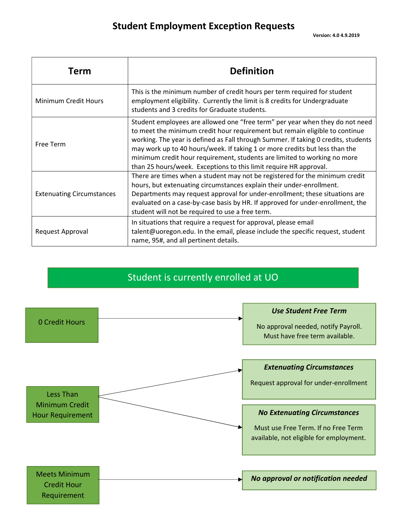| Term                             | <b>Definition</b>                                                                                                                                                                                                                                                                                                                                                                                                                                                                 |
|----------------------------------|-----------------------------------------------------------------------------------------------------------------------------------------------------------------------------------------------------------------------------------------------------------------------------------------------------------------------------------------------------------------------------------------------------------------------------------------------------------------------------------|
| Minimum Credit Hours             | This is the minimum number of credit hours per term required for student<br>employment eligibility. Currently the limit is 8 credits for Undergraduate<br>students and 3 credits for Graduate students.                                                                                                                                                                                                                                                                           |
| Free Term                        | Student employees are allowed one "free term" per year when they do not need<br>to meet the minimum credit hour requirement but remain eligible to continue<br>working. The year is defined as Fall through Summer. If taking 0 credits, students<br>may work up to 40 hours/week. If taking 1 or more credits but less than the<br>minimum credit hour requirement, students are limited to working no more<br>than 25 hours/week. Exceptions to this limit require HR approval. |
| <b>Extenuating Circumstances</b> | There are times when a student may not be registered for the minimum credit<br>hours, but extenuating circumstances explain their under-enrollment.<br>Departments may request approval for under-enrollment; these situations are<br>evaluated on a case-by-case basis by HR. If approved for under-enrollment, the<br>student will not be required to use a free term.                                                                                                          |
| Request Approval                 | In situations that require a request for approval, please email<br>talent@uoregon.edu. In the email, please include the specific request, student<br>name, 95#, and all pertinent details.                                                                                                                                                                                                                                                                                        |

## Student is currently enrolled at UO